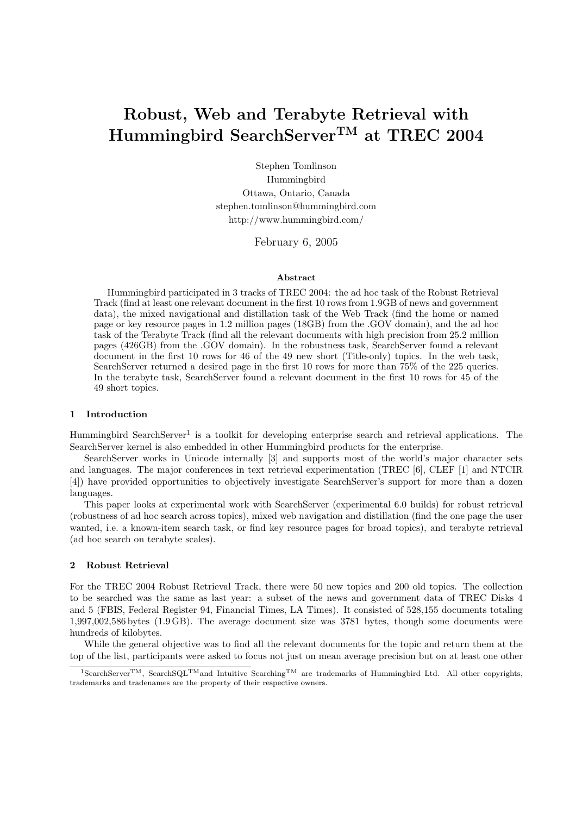# Robust, Web and Terabyte Retrieval with Hummingbird SearchServerTM at TREC 2004

Stephen Tomlinson Hummingbird Ottawa, Ontario, Canada stephen.tomlinson@hummingbird.com http://www.hummingbird.com/

February 6, 2005

### Abstract

Hummingbird participated in 3 tracks of TREC 2004: the ad hoc task of the Robust Retrieval Track (find at least one relevant document in the first 10 rows from 1.9GB of news and government data), the mixed navigational and distillation task of the Web Track (find the home or named page or key resource pages in 1.2 million pages (18GB) from the .GOV domain), and the ad hoc task of the Terabyte Track (find all the relevant documents with high precision from 25.2 million pages (426GB) from the .GOV domain). In the robustness task, SearchServer found a relevant document in the first 10 rows for 46 of the 49 new short (Title-only) topics. In the web task, SearchServer returned a desired page in the first 10 rows for more than 75% of the 225 queries. In the terabyte task, SearchServer found a relevant document in the first 10 rows for 45 of the 49 short topics.

## 1 Introduction

Hummingbird SearchServer<sup>1</sup> is a toolkit for developing enterprise search and retrieval applications. The SearchServer kernel is also embedded in other Hummingbird products for the enterprise.

SearchServer works in Unicode internally [3] and supports most of the world's major character sets and languages. The major conferences in text retrieval experimentation (TREC [6], CLEF [1] and NTCIR [4]) have provided opportunities to objectively investigate SearchServer's support for more than a dozen languages.

This paper looks at experimental work with SearchServer (experimental 6.0 builds) for robust retrieval (robustness of ad hoc search across topics), mixed web navigation and distillation (find the one page the user wanted, i.e. a known-item search task, or find key resource pages for broad topics), and terabyte retrieval (ad hoc search on terabyte scales).

# 2 Robust Retrieval

For the TREC 2004 Robust Retrieval Track, there were 50 new topics and 200 old topics. The collection to be searched was the same as last year: a subset of the news and government data of TREC Disks 4 and 5 (FBIS, Federal Register 94, Financial Times, LA Times). It consisted of 528,155 documents totaling 1,997,002,586 bytes (1.9 GB). The average document size was 3781 bytes, though some documents were hundreds of kilobytes.

While the general objective was to find all the relevant documents for the topic and return them at the top of the list, participants were asked to focus not just on mean average precision but on at least one other

 $1$ SearchServer<sup>TM</sup>, SearchSQL<sup>TM</sup>and Intuitive Searching<sup>TM</sup> are trademarks of Hummingbird Ltd. All other copyrights, trademarks and tradenames are the property of their respective owners.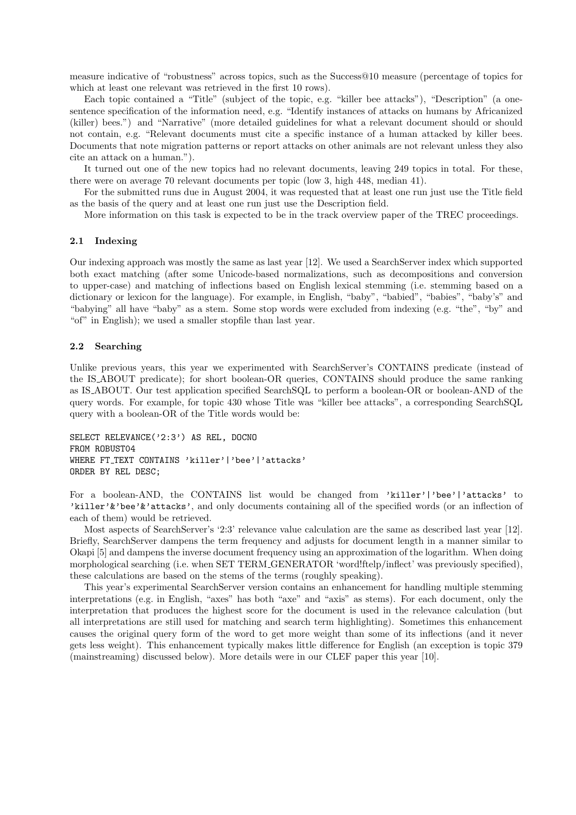measure indicative of "robustness" across topics, such as the Success@10 measure (percentage of topics for which at least one relevant was retrieved in the first 10 rows).

Each topic contained a "Title" (subject of the topic, e.g. "killer bee attacks"), "Description" (a onesentence specification of the information need, e.g. "Identify instances of attacks on humans by Africanized (killer) bees.") and "Narrative" (more detailed guidelines for what a relevant document should or should not contain, e.g. "Relevant documents must cite a specific instance of a human attacked by killer bees. Documents that note migration patterns or report attacks on other animals are not relevant unless they also cite an attack on a human.").

It turned out one of the new topics had no relevant documents, leaving 249 topics in total. For these, there were on average 70 relevant documents per topic (low 3, high 448, median 41).

For the submitted runs due in August 2004, it was requested that at least one run just use the Title field as the basis of the query and at least one run just use the Description field.

More information on this task is expected to be in the track overview paper of the TREC proceedings.

# 2.1 Indexing

Our indexing approach was mostly the same as last year [12]. We used a SearchServer index which supported both exact matching (after some Unicode-based normalizations, such as decompositions and conversion to upper-case) and matching of inflections based on English lexical stemming (i.e. stemming based on a dictionary or lexicon for the language). For example, in English, "baby", "babied", "babies", "baby's" and "babying" all have "baby" as a stem. Some stop words were excluded from indexing (e.g. "the", "by" and "of" in English); we used a smaller stopfile than last year.

# 2.2 Searching

Unlike previous years, this year we experimented with SearchServer's CONTAINS predicate (instead of the IS ABOUT predicate); for short boolean-OR queries, CONTAINS should produce the same ranking as IS ABOUT. Our test application specified SearchSQL to perform a boolean-OR or boolean-AND of the query words. For example, for topic 430 whose Title was "killer bee attacks", a corresponding SearchSQL query with a boolean-OR of the Title words would be:

SELECT RELEVANCE('2:3') AS REL, DOCNO FROM ROBUST04 WHERE FT\_TEXT CONTAINS 'killer'|'bee'|'attacks' ORDER BY REL DESC;

For a boolean-AND, the CONTAINS list would be changed from 'killer'|'bee'|'attacks' to 'killer'&'bee'&'attacks', and only documents containing all of the specified words (or an inflection of each of them) would be retrieved.

Most aspects of SearchServer's '2:3' relevance value calculation are the same as described last year [12]. Briefly, SearchServer dampens the term frequency and adjusts for document length in a manner similar to Okapi [5] and dampens the inverse document frequency using an approximation of the logarithm. When doing morphological searching (i.e. when SET TERM GENERATOR 'word!ftelp/inflect' was previously specified), these calculations are based on the stems of the terms (roughly speaking).

This year's experimental SearchServer version contains an enhancement for handling multiple stemming interpretations (e.g. in English, "axes" has both "axe" and "axis" as stems). For each document, only the interpretation that produces the highest score for the document is used in the relevance calculation (but all interpretations are still used for matching and search term highlighting). Sometimes this enhancement causes the original query form of the word to get more weight than some of its inflections (and it never gets less weight). This enhancement typically makes little difference for English (an exception is topic 379 (mainstreaming) discussed below). More details were in our CLEF paper this year [10].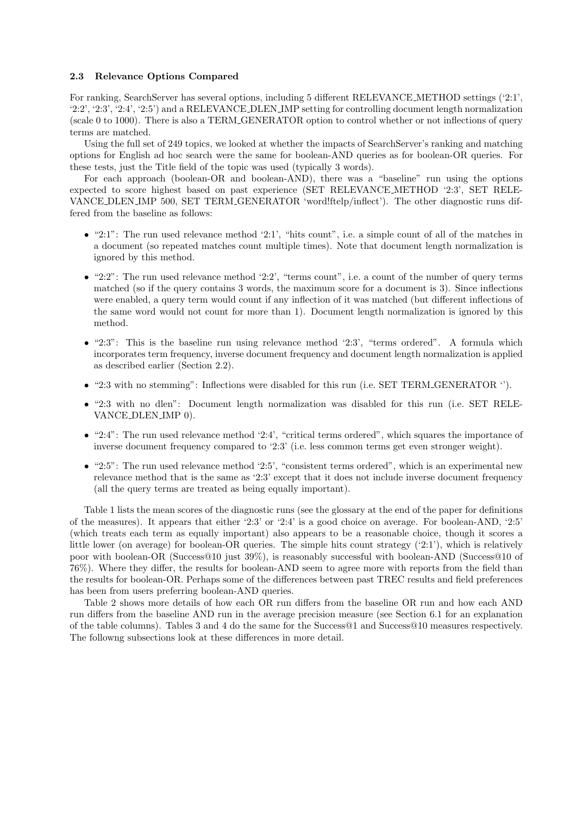## 2.3 Relevance Options Compared

For ranking, SearchServer has several options, including 5 different RELEVANCE METHOD settings ('2:1', '2:2', '2:3', '2:4', '2:5') and a RELEVANCE DLEN IMP setting for controlling document length normalization (scale 0 to 1000). There is also a TERM GENERATOR option to control whether or not inflections of query terms are matched.

Using the full set of 249 topics, we looked at whether the impacts of SearchServer's ranking and matching options for English ad hoc search were the same for boolean-AND queries as for boolean-OR queries. For these tests, just the Title field of the topic was used (typically 3 words).

For each approach (boolean-OR and boolean-AND), there was a "baseline" run using the options expected to score highest based on past experience (SET RELEVANCE METHOD '2:3', SET RELE-VANCE DLEN IMP 500, SET TERM GENERATOR 'word!ftelp/inflect'). The other diagnostic runs differed from the baseline as follows:

- $\bullet$  "2:1": The run used relevance method '2:1', "hits count", i.e. a simple count of all of the matches in a document (so repeated matches count multiple times). Note that document length normalization is ignored by this method.
- $\bullet$  "2:2": The run used relevance method '2:2', "terms count", i.e. a count of the number of query terms matched (so if the query contains 3 words, the maximum score for a document is 3). Since inflections were enabled, a query term would count if any inflection of it was matched (but different inflections of the same word would not count for more than 1). Document length normalization is ignored by this method.
- $\bullet$  "2:3": This is the baseline run using relevance method '2:3', "terms ordered". A formula which incorporates term frequency, inverse document frequency and document length normalization is applied as described earlier (Section 2.2).
- "2:3 with no stemming": Inflections were disabled for this run (i.e. SET TERM GENERATOR ").
- "2:3 with no dlen": Document length normalization was disabled for this run (i.e. SET RELE-VANCE DLEN IMP 0).
- $\bullet$  "2:4": The run used relevance method '2:4', "critical terms ordered", which squares the importance of inverse document frequency compared to '2:3' (i.e. less common terms get even stronger weight).
- $\bullet$  "2:5": The run used relevance method '2:5', "consistent terms ordered", which is an experimental new relevance method that is the same as '2:3' except that it does not include inverse document frequency (all the query terms are treated as being equally important).

Table 1 lists the mean scores of the diagnostic runs (see the glossary at the end of the paper for definitions of the measures). It appears that either '2:3' or '2:4' is a good choice on average. For boolean-AND, '2:5' (which treats each term as equally important) also appears to be a reasonable choice, though it scores a little lower (on average) for boolean-OR queries. The simple hits count strategy ('2:1'), which is relatively poor with boolean-OR (Success@10 just 39%), is reasonably successful with boolean-AND (Success@10 of 76%). Where they differ, the results for boolean-AND seem to agree more with reports from the field than the results for boolean-OR. Perhaps some of the differences between past TREC results and field preferences has been from users preferring boolean-AND queries.

Table 2 shows more details of how each OR run differs from the baseline OR run and how each AND run differs from the baseline AND run in the average precision measure (see Section 6.1 for an explanation of the table columns). Tables 3 and 4 do the same for the Success@1 and Success@10 measures respectively. The followng subsections look at these differences in more detail.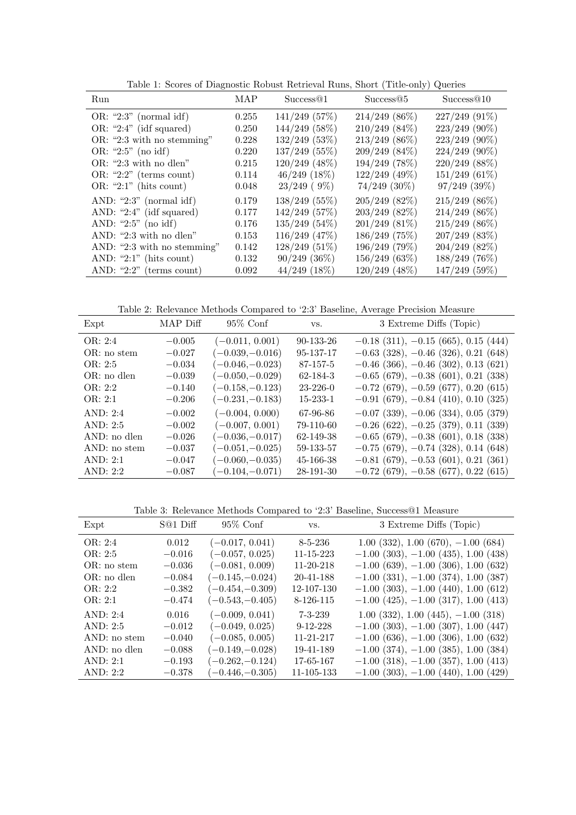| Run                          | MAP   | Success@1         | Success@5         | Success@10        |
|------------------------------|-------|-------------------|-------------------|-------------------|
| OR: "2:3" (normal idf)       | 0.255 | $141/249$ (57%)   | $214/249$ (86\%)  | $227/249(91\%)$   |
| $OR: "2:4"$ (idf squared)    | 0.250 | 144/249 (58%)     | $210/249$ (84\%)  | 223/249 (90%)     |
| OR: "2:3 with no stemming"   | 0.228 | $132/249$ (53%)   | $213/249$ (86%)   | 223/249 (90%)     |
| OR: "2:5" (no idf)           | 0.220 | $137/249$ (55%)   | $209/249(84\%)$   | $224/249$ (90%)   |
| $OR:$ "2:3 with no dlen"     | 0.215 | $120/249$ (48%)   | 194/249 (78%)     | $220/249$ (88%)   |
| $OR: "2:2"$ (terms count)    | 0.114 | $46/249$ $(18\%)$ | 122/249 (49%)     | $151/249(61\%)$   |
| OR: "2:1" (hits count)       | 0.048 | $23/249$ (9%)     | $74/249$ $(30\%)$ | $97/249$ $(39\%)$ |
| AND: " $2:3$ " (normal idf)  | 0.179 | $138/249$ (55%)   | $205/249$ (82\%)  | $215/249$ (86\%)  |
| AND: " $2:4"$ (idf squared)  | 0.177 | 142/249 (57%)     | $203/249$ (82%)   | $214/249$ (86%)   |
| AND: " $2:5$ " (no idf)      | 0.176 | $135/249$ (54%)   | $201/249$ (81%)   | 215/249 (86%)     |
| AND: "2:3 with no dlen"      | 0.153 | $116/249$ (47%)   | 186/249(75%)      | $207/249$ (83%)   |
| AND: "2:3 with no stemming"  | 0.142 | $128/249(51\%)$   | 196/249 (79%)     | $204/249$ (82\%)  |
| AND: " $2:1$ " (hits count)  | 0.132 | $90/249$ $(36\%)$ | 156/249(63%)      | 188/249 (76%)     |
| AND: " $2:2$ " (terms count) | 0.092 | $44/249$ $(18\%)$ | $120/249$ (48%)   | 147/249 (59%)     |

Table 1: Scores of Diagnostic Robust Retrieval Runs, Short (Title-only) Queries

Table 2: Relevance Methods Compared to '2:3' Baseline, Average Precision Measure

| Expt         | MAP Diff | $95\%$ Conf       | VS.             | 3 Extreme Diffs (Topic)                  |
|--------------|----------|-------------------|-----------------|------------------------------------------|
| OR: 2:4      | $-0.005$ | $(-0.011, 0.001)$ | 90-133-26       | $-0.18$ (311), $-0.15$ (665), 0.15 (444) |
| OR: no stem  | $-0.027$ | $(-0.039,-0.016)$ | 95-137-17       | $-0.63$ (328), $-0.46$ (326), 0.21 (648) |
| OR: 2:5      | $-0.034$ | $(-0.046,-0.023)$ | 87-157-5        | $-0.46$ (366), $-0.46$ (302), 0.13 (621) |
| OR: no dlen  | $-0.039$ | $(-0.050,-0.029)$ | 62-184-3        | $-0.65$ (679), $-0.38$ (601), 0.21 (338) |
| OR: 2:2      | $-0.140$ | $(-0.158,-0.123)$ | $23 - 226 - 0$  | $-0.72$ (679), $-0.59$ (677), 0.20 (615) |
| OR: 2:1      | $-0.206$ | $(-0.231,-0.183)$ | $15 - 233 - 1$  | $-0.91(679), -0.84(410), 0.10(325)$      |
| AND: 2:4     | $-0.002$ | $(-0.004, 0.000)$ | 67-96-86        | $-0.07$ (339), $-0.06$ (334), 0.05 (379) |
| AND: 2:5     | $-0.002$ | $(-0.007, 0.001)$ | 79-110-60       | $-0.26$ (622), $-0.25$ (379), 0.11 (339) |
| AND: no dlen | $-0.026$ | $(-0.036,-0.017)$ | 62-149-38       | $-0.65$ (679), $-0.38$ (601), 0.18 (338) |
| AND: no stem | $-0.037$ | $(-0.051,-0.025)$ | 59-133-57       | $-0.75$ (679), $-0.74$ (328), 0.14 (648) |
| AND: 2:1     | $-0.047$ | $(-0.060,-0.035)$ | $45 - 166 - 38$ | $-0.81$ (679), $-0.53$ (601), 0.21 (361) |
| AND: $2:2$   | $-0.087$ | $(-0.104,-0.071)$ | 28-191-30       | $-0.72$ (679), $-0.58$ (677), 0.22 (615) |

Table 3: Relevance Methods Compared to '2:3' Baseline, Success@1 Measure

| Expt         | S@1 Diff | $95\%$ Conf       | VS.             | 3 Extreme Diffs (Topic)                   |
|--------------|----------|-------------------|-----------------|-------------------------------------------|
| OR: 2:4      | 0.012    | $(-0.017, 0.041)$ | $8 - 5 - 236$   | $1.00(332), 1.00(670), -1.00(684)$        |
| OR: 2:5      | $-0.016$ | $(-0.057, 0.025)$ | 11-15-223       | $-1.00$ (303), $-1.00$ (435), 1.00 (438)  |
| OR: no stem  | $-0.036$ | $(-0.081, 0.009)$ | $11 - 20 - 218$ | $-1.00$ (639), $-1.00$ (306), 1.00 (632)  |
| OR: no dlen  | $-0.084$ | $(-0.145,-0.024)$ | 20-41-188       | $-1.00$ (331), $-1.00$ (374), 1.00 (387)  |
| OR: 2:2      | $-0.382$ | $(-0.454,-0.309)$ | 12-107-130      | $-1.00$ (303), $-1.00$ (440), 1.00 (612)  |
| OR: 2:1      | $-0.474$ | $(-0.543,-0.405)$ | 8-126-115       | $-1.00$ (425), $-1.00$ (317), 1.00 (413)  |
| AND: 2:4     | 0.016    | $(-0.009, 0.041)$ | $7 - 3 - 239$   | $1.00$ (332), $1.00$ (445), $-1.00$ (318) |
| AND: 2:5     | $-0.012$ | $(-0.049, 0.025)$ | $9-12-228$      | $-1.00$ (303), $-1.00$ (307), 1.00 (447)  |
| AND: no stem | $-0.040$ | $(-0.085, 0.005)$ | 11-21-217       | $-1.00$ (636), $-1.00$ (306), 1.00 (632)  |
| AND: no dlen | $-0.088$ | $(-0.149,-0.028)$ | 19-41-189       | $-1.00$ (374), $-1.00$ (385), 1.00 (384)  |
| AND: $2:1$   | $-0.193$ | $(-0.262,-0.124)$ | 17-65-167       | $-1.00$ (318), $-1.00$ (357), 1.00 (413)  |
| AND: $2:2$   | $-0.378$ | $(-0.446,-0.305)$ | 11-105-133      | $-1.00$ (303), $-1.00$ (440), 1.00 (429)  |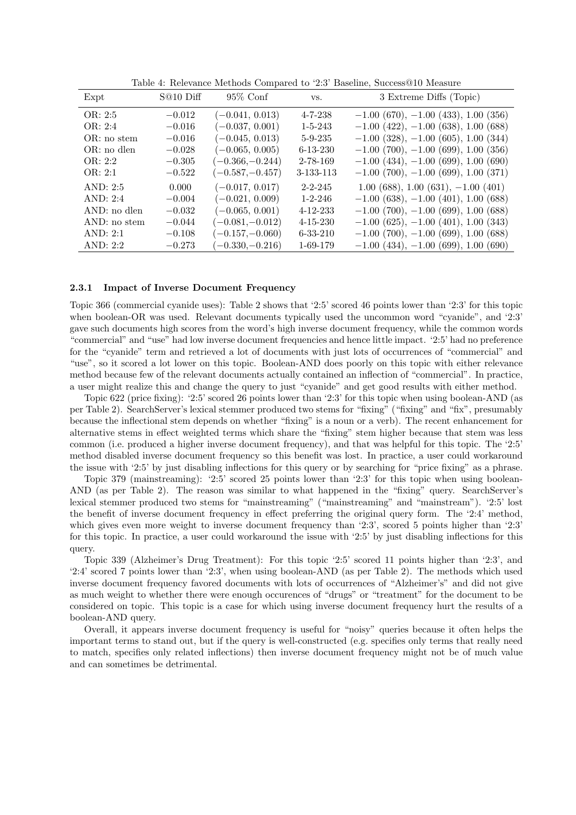| Expt          | S@10 Diff | $95\%$ Conf       | VS.            | 3 Extreme Diffs (Topic)                  |
|---------------|-----------|-------------------|----------------|------------------------------------------|
| OR: 2:5       | $-0.012$  | $(-0.041, 0.013)$ | $4 - 7 - 238$  | $-1.00$ (670), $-1.00$ (433), 1.00 (356) |
| OR: 2:4       | $-0.016$  | $(-0.037, 0.001)$ | $1 - 5 - 243$  | $-1.00$ (422), $-1.00$ (638), 1.00 (688) |
| OR: no stem   | $-0.016$  | $(-0.045, 0.013)$ | $5 - 9 - 235$  | $-1.00$ (328), $-1.00$ (605), 1.00 (344) |
| $OR: no$ dlen | $-0.028$  | $(-0.065, 0.005)$ | $6 - 13 - 230$ | $-1.00$ (700), $-1.00$ (699), 1.00 (356) |
| OR: 2:2       | $-0.305$  | $(-0.366,-0.244)$ | 2-78-169       | $-1.00$ (434), $-1.00$ (699), 1.00 (690) |
| OR: 2:1       | $-0.522$  | $(-0.587,-0.457)$ | 3-133-113      | $-1.00$ (700), $-1.00$ (699), 1.00 (371) |
| AND: $2:5$    | 0.000     | $(-0.017, 0.017)$ | $2 - 2 - 245$  | $1.00(688), 1.00(631), -1.00(401)$       |
| AND: 2:4      | $-0.004$  | $(-0.021, 0.009)$ | $1 - 2 - 246$  | $-1.00$ (638), $-1.00$ (401), 1.00 (688) |
| AND: no dlen  | $-0.032$  | $(-0.065, 0.001)$ | $4 - 12 - 233$ | $-1.00$ (700), $-1.00$ (699), 1.00 (688) |
| AND: no stem  | $-0.044$  | $(-0.081,-0.012)$ | $4 - 15 - 230$ | $-1.00$ (625), $-1.00$ (401), 1.00 (343) |
| AND: 2:1      | $-0.108$  | $(-0.157,-0.060)$ | $6 - 33 - 210$ | $-1.00$ (700), $-1.00$ (699), 1.00 (688) |
| AND: $2:2$    | $-0.273$  | $(-0.330,-0.216)$ | 1-69-179       | $-1.00$ (434), $-1.00$ (699), 1.00 (690) |

Table 4: Relevance Methods Compared to '2:3' Baseline, Success@10 Measure

#### 2.3.1 Impact of Inverse Document Frequency

Topic 366 (commercial cyanide uses): Table 2 shows that '2:5' scored 46 points lower than '2:3' for this topic when boolean-OR was used. Relevant documents typically used the uncommon word "cyanide", and '2:3' gave such documents high scores from the word's high inverse document frequency, while the common words "commercial" and "use" had low inverse document frequencies and hence little impact. '2:5' had no preference for the "cyanide" term and retrieved a lot of documents with just lots of occurrences of "commercial" and "use", so it scored a lot lower on this topic. Boolean-AND does poorly on this topic with either relevance method because few of the relevant documents actually contained an inflection of "commercial". In practice, a user might realize this and change the query to just "cyanide" and get good results with either method.

Topic 622 (price fixing): '2:5' scored 26 points lower than '2:3' for this topic when using boolean-AND (as per Table 2). SearchServer's lexical stemmer produced two stems for "fixing" ("fixing" and "fix", presumably because the inflectional stem depends on whether "fixing" is a noun or a verb). The recent enhancement for alternative stems in effect weighted terms which share the "fixing" stem higher because that stem was less common (i.e. produced a higher inverse document frequency), and that was helpful for this topic. The '2:5' method disabled inverse document frequency so this benefit was lost. In practice, a user could workaround the issue with '2:5' by just disabling inflections for this query or by searching for "price fixing" as a phrase.

Topic 379 (mainstreaming): '2:5' scored 25 points lower than '2:3' for this topic when using boolean-AND (as per Table 2). The reason was similar to what happened in the "fixing" query. SearchServer's lexical stemmer produced two stems for "mainstreaming" ("mainstreaming" and "mainstream"). '2:5' lost the benefit of inverse document frequency in effect preferring the original query form. The '2:4' method, which gives even more weight to inverse document frequency than '2:3', scored 5 points higher than '2:3' for this topic. In practice, a user could workaround the issue with '2:5' by just disabling inflections for this query.

Topic 339 (Alzheimer's Drug Treatment): For this topic '2:5' scored 11 points higher than '2:3', and '2:4' scored 7 points lower than '2:3', when using boolean-AND (as per Table 2). The methods which used inverse document frequency favored documents with lots of occurrences of "Alzheimer's" and did not give as much weight to whether there were enough occurences of "drugs" or "treatment" for the document to be considered on topic. This topic is a case for which using inverse document frequency hurt the results of a boolean-AND query.

Overall, it appears inverse document frequency is useful for "noisy" queries because it often helps the important terms to stand out, but if the query is well-constructed (e.g. specifies only terms that really need to match, specifies only related inflections) then inverse document frequency might not be of much value and can sometimes be detrimental.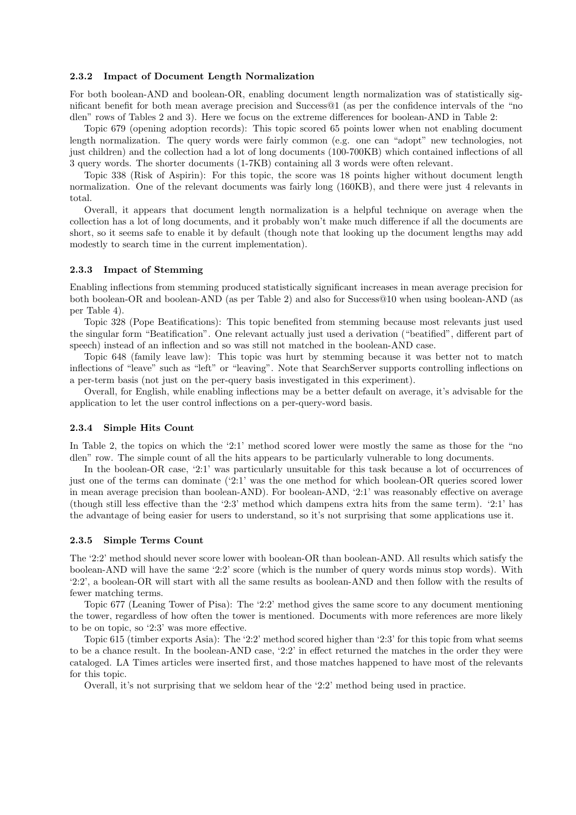## 2.3.2 Impact of Document Length Normalization

For both boolean-AND and boolean-OR, enabling document length normalization was of statistically significant benefit for both mean average precision and Success@1 (as per the confidence intervals of the "no dlen" rows of Tables 2 and 3). Here we focus on the extreme differences for boolean-AND in Table 2:

Topic 679 (opening adoption records): This topic scored 65 points lower when not enabling document length normalization. The query words were fairly common (e.g. one can "adopt" new technologies, not just children) and the collection had a lot of long documents (100-700KB) which contained inflections of all 3 query words. The shorter documents (1-7KB) containing all 3 words were often relevant.

Topic 338 (Risk of Aspirin): For this topic, the score was 18 points higher without document length normalization. One of the relevant documents was fairly long (160KB), and there were just 4 relevants in total.

Overall, it appears that document length normalization is a helpful technique on average when the collection has a lot of long documents, and it probably won't make much difference if all the documents are short, so it seems safe to enable it by default (though note that looking up the document lengths may add modestly to search time in the current implementation).

## 2.3.3 Impact of Stemming

Enabling inflections from stemming produced statistically significant increases in mean average precision for both boolean-OR and boolean-AND (as per Table 2) and also for Success@10 when using boolean-AND (as per Table 4).

Topic 328 (Pope Beatifications): This topic benefited from stemming because most relevants just used the singular form "Beatification". One relevant actually just used a derivation ("beatified", different part of speech) instead of an inflection and so was still not matched in the boolean-AND case.

Topic 648 (family leave law): This topic was hurt by stemming because it was better not to match inflections of "leave" such as "left" or "leaving". Note that SearchServer supports controlling inflections on a per-term basis (not just on the per-query basis investigated in this experiment).

Overall, for English, while enabling inflections may be a better default on average, it's advisable for the application to let the user control inflections on a per-query-word basis.

#### 2.3.4 Simple Hits Count

In Table 2, the topics on which the '2:1' method scored lower were mostly the same as those for the "no dlen" row. The simple count of all the hits appears to be particularly vulnerable to long documents.

In the boolean-OR case, '2:1' was particularly unsuitable for this task because a lot of occurrences of just one of the terms can dominate ('2:1' was the one method for which boolean-OR queries scored lower in mean average precision than boolean-AND). For boolean-AND, '2:1' was reasonably effective on average (though still less effective than the '2:3' method which dampens extra hits from the same term). '2:1' has the advantage of being easier for users to understand, so it's not surprising that some applications use it.

#### 2.3.5 Simple Terms Count

The '2:2' method should never score lower with boolean-OR than boolean-AND. All results which satisfy the boolean-AND will have the same '2:2' score (which is the number of query words minus stop words). With '2:2', a boolean-OR will start with all the same results as boolean-AND and then follow with the results of fewer matching terms.

Topic 677 (Leaning Tower of Pisa): The '2:2' method gives the same score to any document mentioning the tower, regardless of how often the tower is mentioned. Documents with more references are more likely to be on topic, so '2:3' was more effective.

Topic 615 (timber exports Asia): The '2:2' method scored higher than '2:3' for this topic from what seems to be a chance result. In the boolean-AND case, '2:2' in effect returned the matches in the order they were cataloged. LA Times articles were inserted first, and those matches happened to have most of the relevants for this topic.

Overall, it's not surprising that we seldom hear of the '2:2' method being used in practice.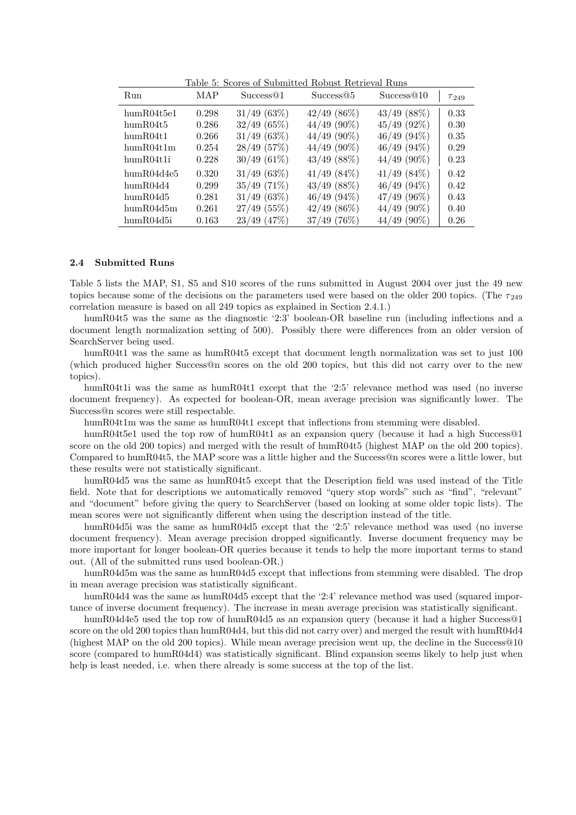| Run        | MAP   | Success <sup>@1</sup> | Success@5        | Success <sup>@10</sup> | $\tau_{249}$ |
|------------|-------|-----------------------|------------------|------------------------|--------------|
| humR04t5e1 | 0.298 | 31/49(63%)            | $42/49$ (86\%)   | $43/49$ $(88\%)$       | 0.33         |
| humR04t5   | 0.286 | 32/49(65%)            | $44/49$ (90%)    | $45/49$ (92%)          | 0.30         |
| humR04t1   | 0.266 | $31/49$ (63%)         | $44/49$ (90%)    | $46/49$ $(94\%)$       | 0.35         |
| humR04t1m  | 0.254 | 28/49 (57%)           | $44/49$ (90%)    | $46/49(94\%)$          | 0.29         |
| humR04t1i  | 0.228 | $30/49(61\%)$         | $43/49$ (88%)    | $44/49$ (90%)          | 0.23         |
| humR04d4e5 | 0.320 | 31/49(63%)            | $41/49$ $(84\%)$ | $41/49$ $(84\%)$       | 0.42         |
| humR04d4   | 0.299 | $35/49$ (71%)         | $43/49$ (88%)    | $46/49$ $(94\%)$       | 0.42         |
| humR04d5   | 0.281 | 31/49(63%)            | $46/49(94\%)$    | $47/49$ (96%)          | 0.43         |
| humR04d5m  | 0.261 | $27/49$ (55%)         | $42/49$ (86\%)   | $44/49$ (90%)          | 0.40         |
| humR04d5i  | 0.163 | $23/49$ (47\%)        | $37/49$ (76\%)   | $44/49$ (90%)          | 0.26         |

Table 5: Scores of Submitted Robust Retrieval Runs

## 2.4 Submitted Runs

Table 5 lists the MAP, S1, S5 and S10 scores of the runs submitted in August 2004 over just the 49 new topics because some of the decisions on the parameters used were based on the older 200 topics. (The  $\tau_{249}$ correlation measure is based on all 249 topics as explained in Section 2.4.1.)

humR04t5 was the same as the diagnostic '2:3' boolean-OR baseline run (including inflections and a document length normalization setting of 500). Possibly there were differences from an older version of SearchServer being used.

humR04t1 was the same as humR04t5 except that document length normalization was set to just 100 (which produced higher Success@n scores on the old 200 topics, but this did not carry over to the new topics).

humR04t1i was the same as humR04t1 except that the '2:5' relevance method was used (no inverse document frequency). As expected for boolean-OR, mean average precision was significantly lower. The Success@n scores were still respectable.

humR04t1m was the same as humR04t1 except that inflections from stemming were disabled.

humR04t5e1 used the top row of humR04t1 as an expansion query (because it had a high Success<sup>®1</sup> score on the old 200 topics) and merged with the result of humR04t5 (highest MAP on the old 200 topics). Compared to humR04t5, the MAP score was a little higher and the Success@n scores were a little lower, but these results were not statistically significant.

humR04d5 was the same as humR04t5 except that the Description field was used instead of the Title field. Note that for descriptions we automatically removed "query stop words" such as "find", "relevant" and "document" before giving the query to SearchServer (based on looking at some older topic lists). The mean scores were not significantly different when using the description instead of the title.

humR04d5i was the same as humR04d5 except that the '2:5' relevance method was used (no inverse document frequency). Mean average precision dropped significantly. Inverse document frequency may be more important for longer boolean-OR queries because it tends to help the more important terms to stand out. (All of the submitted runs used boolean-OR.)

humR04d5m was the same as humR04d5 except that inflections from stemming were disabled. The drop in mean average precision was statistically significant.

humR04d4 was the same as humR04d5 except that the '2:4' relevance method was used (squared importance of inverse document frequency). The increase in mean average precision was statistically significant.

humR04d4e5 used the top row of humR04d5 as an expansion query (because it had a higher Success@1 score on the old 200 topics than humR04d4, but this did not carry over) and merged the result with humR04d4 (highest MAP on the old 200 topics). While mean average precision went up, the decline in the Success@10 score (compared to humR04d4) was statistically significant. Blind expansion seems likely to help just when help is least needed, i.e. when there already is some success at the top of the list.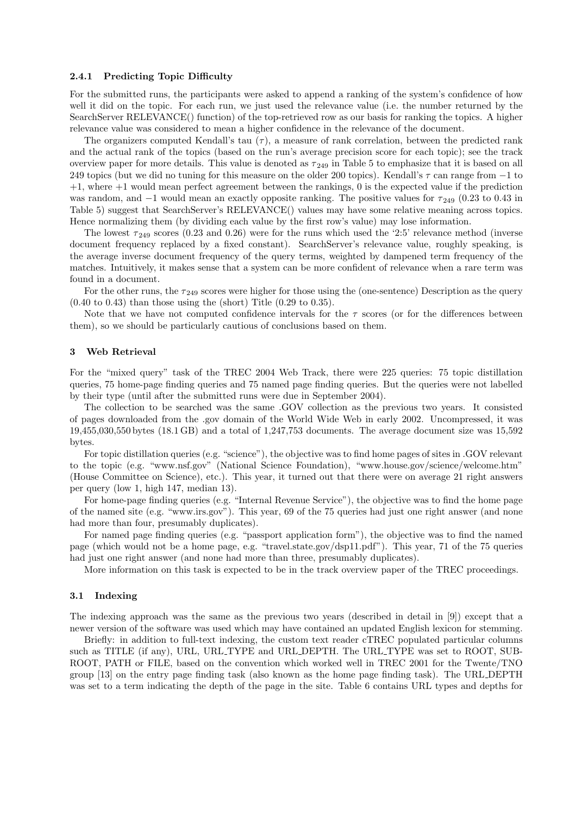## 2.4.1 Predicting Topic Difficulty

For the submitted runs, the participants were asked to append a ranking of the system's confidence of how well it did on the topic. For each run, we just used the relevance value (i.e. the number returned by the SearchServer RELEVANCE() function) of the top-retrieved row as our basis for ranking the topics. A higher relevance value was considered to mean a higher confidence in the relevance of the document.

The organizers computed Kendall's tau  $(\tau)$ , a measure of rank correlation, between the predicted rank and the actual rank of the topics (based on the run's average precision score for each topic); see the track overview paper for more details. This value is denoted as  $\tau_{249}$  in Table 5 to emphasize that it is based on all 249 topics (but we did no tuning for this measure on the older 200 topics). Kendall's  $\tau$  can range from  $-1$  to +1, where +1 would mean perfect agreement between the rankings, 0 is the expected value if the prediction was random, and  $-1$  would mean an exactly opposite ranking. The positive values for  $\tau_{249}$  (0.23 to 0.43 in Table 5) suggest that SearchServer's RELEVANCE() values may have some relative meaning across topics. Hence normalizing them (by dividing each value by the first row's value) may lose information.

The lowest  $\tau_{249}$  scores (0.23 and 0.26) were for the runs which used the '2:5' relevance method (inverse document frequency replaced by a fixed constant). SearchServer's relevance value, roughly speaking, is the average inverse document frequency of the query terms, weighted by dampened term frequency of the matches. Intuitively, it makes sense that a system can be more confident of relevance when a rare term was found in a document.

For the other runs, the  $\tau_{249}$  scores were higher for those using the (one-sentence) Description as the query  $(0.40 \text{ to } 0.43)$  than those using the (short) Title  $(0.29 \text{ to } 0.35)$ .

Note that we have not computed confidence intervals for the  $\tau$  scores (or for the differences between them), so we should be particularly cautious of conclusions based on them.

#### 3 Web Retrieval

For the "mixed query" task of the TREC 2004 Web Track, there were 225 queries: 75 topic distillation queries, 75 home-page finding queries and 75 named page finding queries. But the queries were not labelled by their type (until after the submitted runs were due in September 2004).

The collection to be searched was the same .GOV collection as the previous two years. It consisted of pages downloaded from the .gov domain of the World Wide Web in early 2002. Uncompressed, it was 19,455,030,550 bytes (18.1 GB) and a total of 1,247,753 documents. The average document size was 15,592 bytes.

For topic distillation queries (e.g. "science"), the objective was to find home pages of sites in .GOV relevant to the topic (e.g. "www.nsf.gov" (National Science Foundation), "www.house.gov/science/welcome.htm" (House Committee on Science), etc.). This year, it turned out that there were on average 21 right answers per query (low 1, high 147, median 13).

For home-page finding queries (e.g. "Internal Revenue Service"), the objective was to find the home page of the named site (e.g. "www.irs.gov"). This year, 69 of the 75 queries had just one right answer (and none had more than four, presumably duplicates).

For named page finding queries (e.g. "passport application form"), the objective was to find the named page (which would not be a home page, e.g. "travel.state.gov/dsp11.pdf"). This year, 71 of the 75 queries had just one right answer (and none had more than three, presumably duplicates).

More information on this task is expected to be in the track overview paper of the TREC proceedings.

## 3.1 Indexing

The indexing approach was the same as the previous two years (described in detail in [9]) except that a newer version of the software was used which may have contained an updated English lexicon for stemming.

Briefly: in addition to full-text indexing, the custom text reader cTREC populated particular columns such as TITLE (if any), URL, URL TYPE and URL DEPTH. The URL TYPE was set to ROOT, SUB-ROOT, PATH or FILE, based on the convention which worked well in TREC 2001 for the Twente/TNO group [13] on the entry page finding task (also known as the home page finding task). The URL DEPTH was set to a term indicating the depth of the page in the site. Table 6 contains URL types and depths for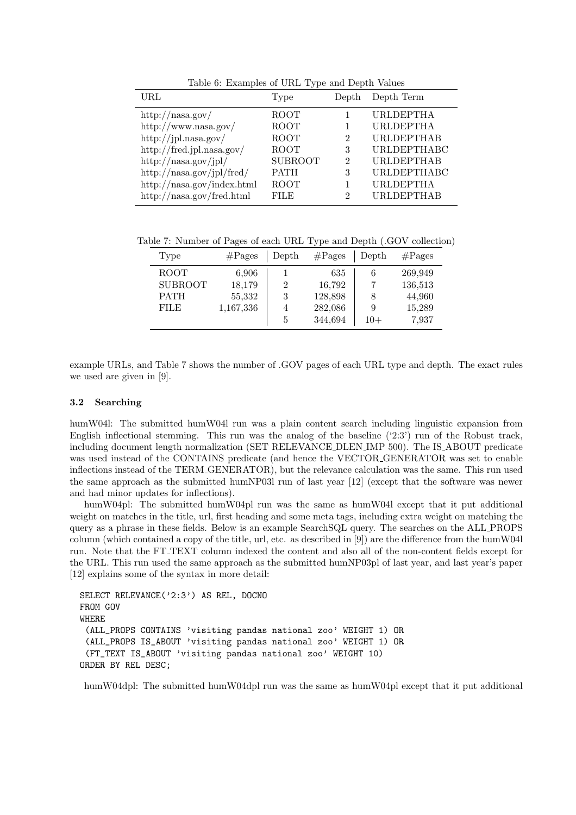| Type           | Depth          | Depth Term         |
|----------------|----------------|--------------------|
| ROOT           |                | <b>URLDEPTHA</b>   |
| ROOT           |                | <b>URLDEPTHA</b>   |
| ROOT           | $\mathfrak{D}$ | <b>URLDEPTHAB</b>  |
| <b>ROOT</b>    | 3              | URLDEPTHABC        |
| <b>SUBROOT</b> | $\mathcal{D}$  | <b>URLDEPTHAB</b>  |
| <b>PATH</b>    | 3              | <b>URLDEPTHABC</b> |
| <b>ROOT</b>    |                | <b>URLDEPTHA</b>   |
| FILE           | 2              | <b>URLDEPTHAB</b>  |
|                |                |                    |

Table 6: Examples of URL Type and Depth Values

Table 7: Number of Pages of each URL Type and Depth (.GOV collection)

| Type           | $#$ Pages | Depth          | $\#\text{Pages}$ | Depth | $\#\text{Pages}$ |
|----------------|-----------|----------------|------------------|-------|------------------|
| ROOT           | 6,906     |                | 635              | 6     | 269,949          |
| <b>SUBROOT</b> | 18,179    | 2              | 16,792           |       | 136,513          |
| <b>PATH</b>    | 55,332    | 3              | 128,898          |       | 44,960           |
| <b>FILE</b>    | 1,167,336 | $\overline{4}$ | 282,086          | 9     | 15,289           |
|                |           | 5              | 344,694          | $10+$ | 7,937            |

example URLs, and Table 7 shows the number of .GOV pages of each URL type and depth. The exact rules we used are given in [9].

## 3.2 Searching

humW04l: The submitted humW04l run was a plain content search including linguistic expansion from English inflectional stemming. This run was the analog of the baseline ('2:3') run of the Robust track, including document length normalization (SET RELEVANCE DLEN IMP 500). The IS ABOUT predicate was used instead of the CONTAINS predicate (and hence the VECTOR GENERATOR was set to enable inflections instead of the TERM GENERATOR), but the relevance calculation was the same. This run used the same approach as the submitted humNP03l run of last year [12] (except that the software was newer and had minor updates for inflections).

humW04pl: The submitted humW04pl run was the same as humW04l except that it put additional weight on matches in the title, url, first heading and some meta tags, including extra weight on matching the query as a phrase in these fields. Below is an example SearchSQL query. The searches on the ALL PROPS column (which contained a copy of the title, url, etc. as described in [9]) are the difference from the humW04l run. Note that the FT TEXT column indexed the content and also all of the non-content fields except for the URL. This run used the same approach as the submitted humNP03pl of last year, and last year's paper [12] explains some of the syntax in more detail:

```
SELECT RELEVANCE('2:3') AS REL, DOCNO
FROM GOV
WHERE
 (ALL_PROPS CONTAINS 'visiting pandas national zoo' WEIGHT 1) OR
 (ALL_PROPS IS_ABOUT 'visiting pandas national zoo' WEIGHT 1) OR
 (FT_TEXT IS_ABOUT 'visiting pandas national zoo' WEIGHT 10)
ORDER BY REL DESC;
```
humW04dpl: The submitted humW04dpl run was the same as humW04pl except that it put additional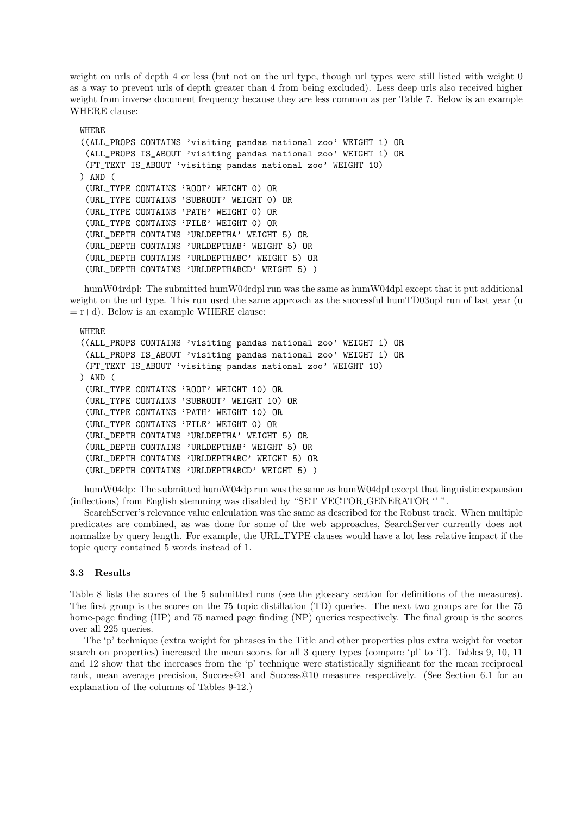weight on urls of depth 4 or less (but not on the url type, though url types were still listed with weight 0 as a way to prevent urls of depth greater than 4 from being excluded). Less deep urls also received higher weight from inverse document frequency because they are less common as per Table 7. Below is an example WHERE clause:

#### **WHERE**

```
((ALL_PROPS CONTAINS 'visiting pandas national zoo' WEIGHT 1) OR
 (ALL_PROPS IS_ABOUT 'visiting pandas national zoo' WEIGHT 1) OR
 (FT_TEXT IS_ABOUT 'visiting pandas national zoo' WEIGHT 10)
) AND (
 (URL_TYPE CONTAINS 'ROOT' WEIGHT 0) OR
 (URL_TYPE CONTAINS 'SUBROOT' WEIGHT 0) OR
 (URL_TYPE CONTAINS 'PATH' WEIGHT 0) OR
 (URL_TYPE CONTAINS 'FILE' WEIGHT 0) OR
 (URL_DEPTH CONTAINS 'URLDEPTHA' WEIGHT 5) OR
 (URL_DEPTH CONTAINS 'URLDEPTHAB' WEIGHT 5) OR
 (URL_DEPTH CONTAINS 'URLDEPTHABC' WEIGHT 5) OR
 (URL_DEPTH CONTAINS 'URLDEPTHABCD' WEIGHT 5) )
```
humW04rdpl: The submitted humW04rdpl run was the same as humW04dpl except that it put additional weight on the url type. This run used the same approach as the successful humTD03upl run of last year (u  $=$  r+d). Below is an example WHERE clause:

#### WHERE

```
((ALL_PROPS CONTAINS 'visiting pandas national zoo' WEIGHT 1) OR
 (ALL_PROPS IS_ABOUT 'visiting pandas national zoo' WEIGHT 1) OR
 (FT_TEXT IS_ABOUT 'visiting pandas national zoo' WEIGHT 10)
) AND (
 (URL_TYPE CONTAINS 'ROOT' WEIGHT 10) OR
 (URL_TYPE CONTAINS 'SUBROOT' WEIGHT 10) OR
 (URL_TYPE CONTAINS 'PATH' WEIGHT 10) OR
 (URL_TYPE CONTAINS 'FILE' WEIGHT 0) OR
 (URL_DEPTH CONTAINS 'URLDEPTHA' WEIGHT 5) OR
 (URL_DEPTH CONTAINS 'URLDEPTHAB' WEIGHT 5) OR
 (URL_DEPTH CONTAINS 'URLDEPTHABC' WEIGHT 5) OR
 (URL_DEPTH CONTAINS 'URLDEPTHABCD' WEIGHT 5) )
```
humW04dp: The submitted humW04dp run was the same as humW04dpl except that linguistic expansion (inflections) from English stemming was disabled by "SET VECTOR GENERATOR '' ".

SearchServer's relevance value calculation was the same as described for the Robust track. When multiple predicates are combined, as was done for some of the web approaches, SearchServer currently does not normalize by query length. For example, the URL TYPE clauses would have a lot less relative impact if the topic query contained 5 words instead of 1.

#### 3.3 Results

Table 8 lists the scores of the 5 submitted runs (see the glossary section for definitions of the measures). The first group is the scores on the 75 topic distillation (TD) queries. The next two groups are for the 75 home-page finding (HP) and 75 named page finding (NP) queries respectively. The final group is the scores over all 225 queries.

The 'p' technique (extra weight for phrases in the Title and other properties plus extra weight for vector search on properties) increased the mean scores for all 3 query types (compare 'pl' to 'l'). Tables 9, 10, 11 and 12 show that the increases from the 'p' technique were statistically significant for the mean reciprocal rank, mean average precision, Success@1 and Success@10 measures respectively. (See Section 6.1 for an explanation of the columns of Tables 9-12.)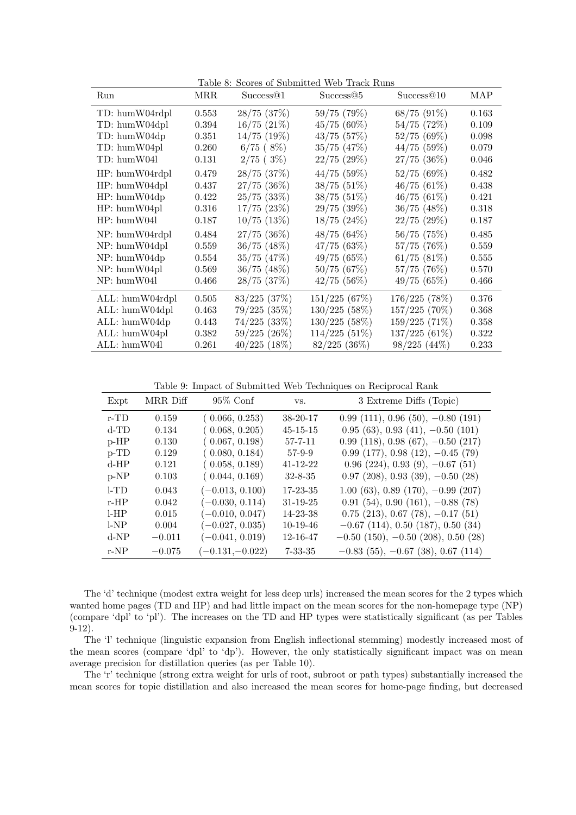| Run                    | MRR   | Success <sup>@1</sup> | Table 8: Scores of Submitted Web Track Runs<br>Success@5 | Success@10       | MAP   |
|------------------------|-------|-----------------------|----------------------------------------------------------|------------------|-------|
| TD: humW04rdpl         | 0.553 | $28/75$ $(37%)$       | 59/75 (79%)                                              | $68/75(91\%)$    | 0.163 |
| TD: humW04dpl          | 0.394 | $16/75$ $(21\%)$      | 45/75 (60%)                                              | 54/75(72%)       | 0.109 |
| TD: humW04dp           | 0.351 | $14/75$ $(19\%)$      | $43/75$ $(57%)$                                          | 52/75(69%)       | 0.098 |
| TD: humW04pl           | 0.260 | 6/75(8%)              | $35/75$ $(47\%)$                                         | 44/75(59%)       | 0.079 |
| TD: humW04l            | 0.131 | 2/75(3%)              | $22/75$ $(29\%)$                                         | $27/75$ $(36\%)$ | 0.046 |
| HP: humW04rdpl         | 0.479 | $28/75$ $(37%)$       | $44/75$ (59%)                                            | 52/75(69%)       | 0.482 |
| HP: humW04dpl          | 0.437 | $27/75$ $(36\%)$      | $38/75(51\%)$                                            | 46/75(61%)       | 0.438 |
| HP: humW04dp           | 0.422 | $25/75$ $(33\%)$      | $38/75(51\%)$                                            | 46/75(61%)       | 0.421 |
| $HP: \text{humW04pl}$  | 0.316 | $17/75$ $(23\%)$      | 29/75(39%)                                               | $36/75$ $(48\%)$ | 0.318 |
| $HP: \text{humW04l}$   | 0.187 | $10/75$ $(13%)$       | $18/75$ $(24\%)$                                         | $22/75$ $(29\%)$ | 0.187 |
| NP: humW04rdpl         | 0.484 | $27/75$ $(36\%)$      | 48/75 (64%)                                              | 56/75 (75%)      | 0.485 |
| NP: humW04dpl          | 0.559 | $36/75$ $(48\%)$      | 47/75(63%)                                               | 57/75 (76%)      | 0.559 |
| $NP: \text{hum}W04dp$  | 0.554 | $35/75$ $(47%)$       | 49/75(65%)                                               | 61/75(81%)       | 0.555 |
| $NP: \text{humW04pl}$  | 0.569 | $36/75$ $(48\%)$      | 50/75(67%)                                               | $57/75$ $(76\%)$ | 0.570 |
| NP: humW04l            | 0.466 | $28/75$ $(37%)$       | $42/75$ (56%)                                            | 49/75(65%)       | 0.466 |
| ALL: humW04rdpl        | 0.505 | $83/225$ $(37\%)$     | 151/225 (67%)                                            | 176/225 (78%)    | 0.376 |
| ALL: humW04dpl         | 0.463 | $79/225$ $(35\%)$     | $130/225$ (58%)                                          | 157/225 (70%)    | 0.368 |
| ALL: humW04dp          | 0.443 | $74/225$ $(33\%)$     | $130/225$ (58%)                                          | 159/225(71%)     | 0.358 |
| $ALL: \text{humW04pl}$ | 0.382 | $59/225(26\%)$        | $114/225$ (51%)                                          | $137/225(61\%)$  | 0.322 |
| ALL: humW04l           | 0.261 | $40/225$ $(18\%)$     | $82/225$ $(36\%)$                                        | $98/225(44\%)$   | 0.233 |

Table 8: George of Submitted Web Track D

Table 9: Impact of Submitted Web Techniques on Reciprocal Rank

| Expt    | MRR Diff | $95\%$ Conf       | VS.            | 3 Extreme Diffs (Topic)                 |
|---------|----------|-------------------|----------------|-----------------------------------------|
| $r$ -TD | 0.159    | (0.066, 0.253)    | $38 - 20 - 17$ | $0.99(111), 0.96(50), -0.80(191)$       |
| $d$ -TD | 0.134    | (0.068, 0.205)    | $45 - 15 - 15$ | $0.95(63), 0.93(41), -0.50(101)$        |
| $p$ -HP | 0.130    | (0.067, 0.198)    | 57-7-11        | $0.99(118), 0.98(67), -0.50(217)$       |
| $p$ -TD | 0.129    | (0.080, 0.184)    | $57-9-9$       | $0.99(177), 0.98(12), -0.45(79)$        |
| $d$ -HP | 0.121    | (0.058, 0.189)    | $41 - 12 - 22$ | $0.96$ (224), $0.93$ (9), $-0.67$ (51)  |
| $p-NP$  | 0.103    | (0.044, 0.169)    | $32 - 8 - 35$  | $0.97$ (208), $0.93$ (39), $-0.50$ (28) |
| $l$ -TD | 0.043    | $(-0.013, 0.100)$ | $17 - 23 - 35$ | $1.00(63), 0.89(170), -0.99(207)$       |
| $r$ -HP | 0.042    | $(-0.030, 0.114)$ | $31 - 19 - 25$ | $0.91(54), 0.90(161), -0.88(78)$        |
| LHP     | 0.015    | $(-0.010, 0.047)$ | 14-23-38       | $0.75$ (213), 0.67 (78), $-0.17$ (51)   |
| $1-NP$  | 0.004    | $(-0.027, 0.035)$ | $10-19-46$     | $-0.67$ (114), 0.50 (187), 0.50 (34)    |
| $d-NP$  | $-0.011$ | $(-0.041, 0.019)$ | 12-16-47       | $-0.50$ (150), $-0.50$ (208), 0.50 (28) |
| $r-NP$  | $-0.075$ | $(-0.131,-0.022)$ | $7 - 33 - 35$  | $-0.83$ (55), $-0.67$ (38), 0.67 (114)  |

The 'd' technique (modest extra weight for less deep urls) increased the mean scores for the 2 types which wanted home pages (TD and HP) and had little impact on the mean scores for the non-homepage type (NP) (compare 'dpl' to 'pl'). The increases on the TD and HP types were statistically significant (as per Tables 9-12).

The 'l' technique (linguistic expansion from English inflectional stemming) modestly increased most of the mean scores (compare 'dpl' to 'dp'). However, the only statistically significant impact was on mean average precision for distillation queries (as per Table 10).

The 'r' technique (strong extra weight for urls of root, subroot or path types) substantially increased the mean scores for topic distillation and also increased the mean scores for home-page finding, but decreased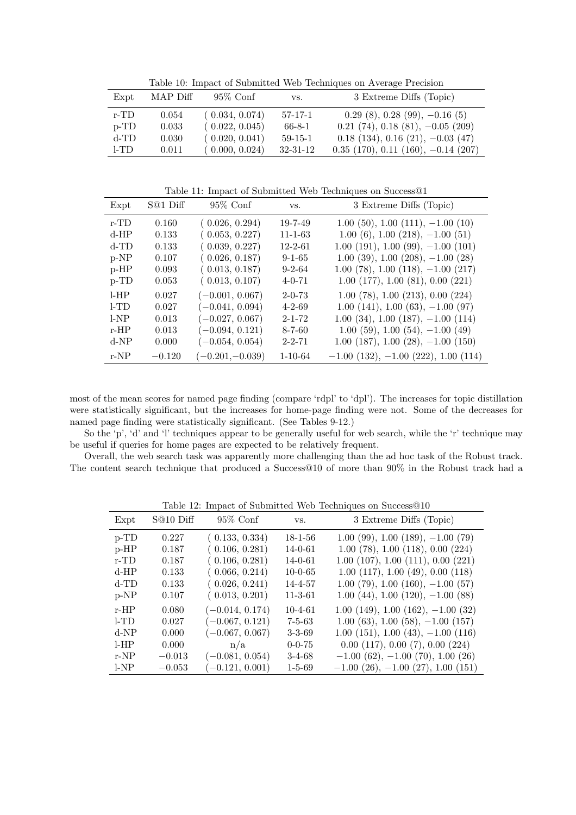Table 10: Impact of Submitted Web Techniques on Average Precision

| Expt    | MAP Diff | $95\%$ Conf    | VS.            | 3 Extreme Diffs (Topic)                   |
|---------|----------|----------------|----------------|-------------------------------------------|
| r-TD    | 0.054    | (0.034, 0.074) | $57 - 17 - 1$  | $0.29(8), 0.28(99), -0.16(5)$             |
| $p$ -TD | 0.033    | (0.022, 0.045) | 66-8-1         | $0.21$ (74), $0.18$ (81), $-0.05$ (209)   |
| $d$ -TD | 0.030    | (0.020, 0.041) | $59-15-1$      | $0.18(134), 0.16(21), -0.03(47)$          |
| 1-TD    | 0.011    | (0.000, 0.024) | $32 - 31 - 12$ | $0.35$ (170), $0.11$ (160), $-0.14$ (207) |

Table 11: Impact of Submitted Web Techniques on Success@1

| Expt    | $S@1$ Diff | $95\%$ Conf       | VS.           | 3 Extreme Diffs (Topic)                         |
|---------|------------|-------------------|---------------|-------------------------------------------------|
| $r$ -TD | 0.160      | (0.026, 0.294)    | $19 - 7 - 49$ | $1.00(50), 1.00(111), -1.00(10)$                |
| $d$ -HP | 0.133      | (0.053, 0.227)    | $11 - 1 - 63$ | $1.00(6)$ , $1.00(218)$ , $-1.00(51)$           |
| $d$ -TD | 0.133      | (0.039, 0.227)    | $12 - 2 - 61$ | $1.00(191), 1.00(99), -1.00(101)$               |
| $p-NP$  | 0.107      | (0.026, 0.187)    | $9 - 1 - 65$  | $1.00$ (39), $1.00$ (208), $-1.00$ (28)         |
| $p$ -HP | 0.093      | (0.013, 0.187)    | $9 - 2 - 64$  | $1.00(78), 1.00(118), -1.00(217)$               |
| $p$ -TD | 0.053      | (0.013, 0.107)    | $4 - 0 - 71$  | $1.00$ $(177)$ , $1.00$ $(81)$ , $0.00$ $(221)$ |
| LHP     | 0.027      | $(-0.001, 0.067)$ | $2 - 0 - 73$  | 1.00(78), 1.00(213), 0.00(224)                  |
| 1-TD    | 0.027      | $(-0.041, 0.094)$ | $4 - 2 - 69$  | $1.00(141), 1.00(63), -1.00(97)$                |
| 1-NP    | 0.013      | $(-0.027, 0.067)$ | $2 - 1 - 72$  | $1.00$ (34), $1.00$ (187), $-1.00$ (114)        |
| $r$ -HP | 0.013      | $(-0.094, 0.121)$ | $8 - 7 - 60$  | $1.00(59), 1.00(54), -1.00(49)$                 |
| $d-NP$  | 0.000      | $(-0.054, 0.054)$ | $2 - 2 - 71$  | $1.00$ (187), $1.00$ (28), $-1.00$ (150)        |
| $r-NP$  | $-0.120$   | $(-0.201,-0.039)$ | $1 - 10 - 64$ | $-1.00$ (132), $-1.00$ (222), 1.00 (114)        |

most of the mean scores for named page finding (compare 'rdpl' to 'dpl'). The increases for topic distillation were statistically significant, but the increases for home-page finding were not. Some of the decreases for named page finding were statistically significant. (See Tables 9-12.)

So the 'p', 'd' and 'l' techniques appear to be generally useful for web search, while the 'r' technique may be useful if queries for home pages are expected to be relatively frequent.

Overall, the web search task was apparently more challenging than the ad hoc task of the Robust track. The content search technique that produced a Success@10 of more than 90% in the Robust track had a

|         |           |                   |               | $\frac{1}{2}$ and $\frac{1}{2}$ and $\frac{1}{2}$ and $\frac{1}{2}$ and $\frac{1}{2}$ and $\frac{1}{2}$ are $\frac{1}{2}$ and $\frac{1}{2}$ are $\frac{1}{2}$ and $\frac{1}{2}$ are $\frac{1}{2}$ and $\frac{1}{2}$ are $\frac{1}{2}$ and $\frac{1}{2}$ are $\frac{1}{2}$ and $\frac{1}{2}$ a |
|---------|-----------|-------------------|---------------|-----------------------------------------------------------------------------------------------------------------------------------------------------------------------------------------------------------------------------------------------------------------------------------------------|
| Expt    | S@10 Diff | $95\%$ Conf       | VS.           | 3 Extreme Diffs (Topic)                                                                                                                                                                                                                                                                       |
| $p$ -TD | 0.227     | (0.133, 0.334)    | $18 - 1 - 56$ | $1.00(99)$ , $1.00(189)$ , $-1.00(79)$                                                                                                                                                                                                                                                        |
| $p$ -HP | 0.187     | (0.106, 0.281)    | $14 - 0 - 61$ | 1.00(78), 1.00(118), 0.00(224)                                                                                                                                                                                                                                                                |
| $r$ -TD | 0.187     | (0.106, 0.281)    | $14 - 0 - 61$ | $1.00$ (107), $1.00$ (111), $0.00$ (221)                                                                                                                                                                                                                                                      |
| $d$ -HP | 0.133     | (0.066, 0.214)    | $10-0-65$     | $1.00$ (117), $1.00$ (49), $0.00$ (118)                                                                                                                                                                                                                                                       |
| $d$ -TD | 0.133     | (0.026, 0.241)    | 14-4-57       | $1.00(79), 1.00(160), -1.00(57)$                                                                                                                                                                                                                                                              |
| $p-NP$  | 0.107     | (0.013, 0.201)    | $11 - 3 - 61$ | $1.00(44)$ , $1.00(120)$ , $-1.00(88)$                                                                                                                                                                                                                                                        |
| $r$ -HP | 0.080     | $(-0.014, 0.174)$ | $10 - 4 - 61$ | $1.00(149), 1.00(162), -1.00(32)$                                                                                                                                                                                                                                                             |
| $1-TD$  | 0.027     | $(-0.067, 0.121)$ | $7 - 5 - 63$  | $1.00(63), 1.00(58), -1.00(157)$                                                                                                                                                                                                                                                              |
| $d-NP$  | 0.000     | $(-0.067, 0.067)$ | $3 - 3 - 69$  | $1.00(151), 1.00(43), -1.00(116)$                                                                                                                                                                                                                                                             |
| LHP     | 0.000     | n/a               | $0 - 0 - 75$  | 0.00(117), 0.00(7), 0.00(224)                                                                                                                                                                                                                                                                 |
| $r-NP$  | $-0.013$  | $(-0.081, 0.054)$ | $3-4-68$      | $-1.00$ (62), $-1.00$ (70), 1.00 (26)                                                                                                                                                                                                                                                         |
| 1-NP    | $-0.053$  | $(-0.121, 0.001)$ | $1 - 5 - 69$  | $-1.00$ (26), $-1.00$ (27), 1.00 (151)                                                                                                                                                                                                                                                        |

Table 12: Impact of Submitted Web Techniques on Success@10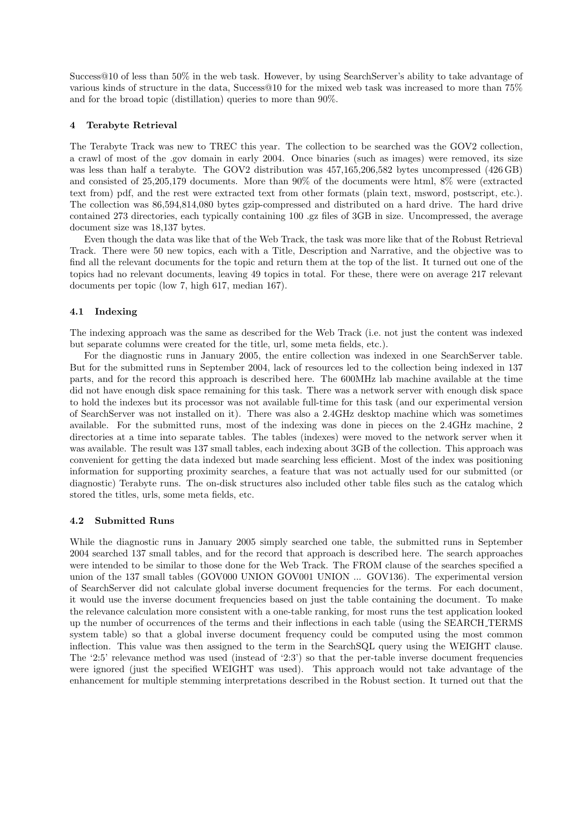Success@10 of less than 50% in the web task. However, by using SearchServer's ability to take advantage of various kinds of structure in the data, Success@10 for the mixed web task was increased to more than 75% and for the broad topic (distillation) queries to more than 90%.

# 4 Terabyte Retrieval

The Terabyte Track was new to TREC this year. The collection to be searched was the GOV2 collection, a crawl of most of the .gov domain in early 2004. Once binaries (such as images) were removed, its size was less than half a terabyte. The GOV2 distribution was 457,165,206,582 bytes uncompressed (426 GB) and consisted of 25,205,179 documents. More than 90% of the documents were html, 8% were (extracted text from) pdf, and the rest were extracted text from other formats (plain text, msword, postscript, etc.). The collection was 86,594,814,080 bytes gzip-compressed and distributed on a hard drive. The hard drive contained 273 directories, each typically containing 100 .gz files of 3GB in size. Uncompressed, the average document size was 18,137 bytes.

Even though the data was like that of the Web Track, the task was more like that of the Robust Retrieval Track. There were 50 new topics, each with a Title, Description and Narrative, and the objective was to find all the relevant documents for the topic and return them at the top of the list. It turned out one of the topics had no relevant documents, leaving 49 topics in total. For these, there were on average 217 relevant documents per topic (low 7, high 617, median 167).

# 4.1 Indexing

The indexing approach was the same as described for the Web Track (i.e. not just the content was indexed but separate columns were created for the title, url, some meta fields, etc.).

For the diagnostic runs in January 2005, the entire collection was indexed in one SearchServer table. But for the submitted runs in September 2004, lack of resources led to the collection being indexed in 137 parts, and for the record this approach is described here. The 600MHz lab machine available at the time did not have enough disk space remaining for this task. There was a network server with enough disk space to hold the indexes but its processor was not available full-time for this task (and our experimental version of SearchServer was not installed on it). There was also a 2.4GHz desktop machine which was sometimes available. For the submitted runs, most of the indexing was done in pieces on the 2.4GHz machine, 2 directories at a time into separate tables. The tables (indexes) were moved to the network server when it was available. The result was 137 small tables, each indexing about 3GB of the collection. This approach was convenient for getting the data indexed but made searching less efficient. Most of the index was positioning information for supporting proximity searches, a feature that was not actually used for our submitted (or diagnostic) Terabyte runs. The on-disk structures also included other table files such as the catalog which stored the titles, urls, some meta fields, etc.

#### 4.2 Submitted Runs

While the diagnostic runs in January 2005 simply searched one table, the submitted runs in September 2004 searched 137 small tables, and for the record that approach is described here. The search approaches were intended to be similar to those done for the Web Track. The FROM clause of the searches specified a union of the 137 small tables (GOV000 UNION GOV001 UNION ... GOV136). The experimental version of SearchServer did not calculate global inverse document frequencies for the terms. For each document, it would use the inverse document frequencies based on just the table containing the document. To make the relevance calculation more consistent with a one-table ranking, for most runs the test application looked up the number of occurrences of the terms and their inflections in each table (using the SEARCH TERMS system table) so that a global inverse document frequency could be computed using the most common inflection. This value was then assigned to the term in the SearchSQL query using the WEIGHT clause. The '2:5' relevance method was used (instead of '2:3') so that the per-table inverse document frequencies were ignored (just the specified WEIGHT was used). This approach would not take advantage of the enhancement for multiple stemming interpretations described in the Robust section. It turned out that the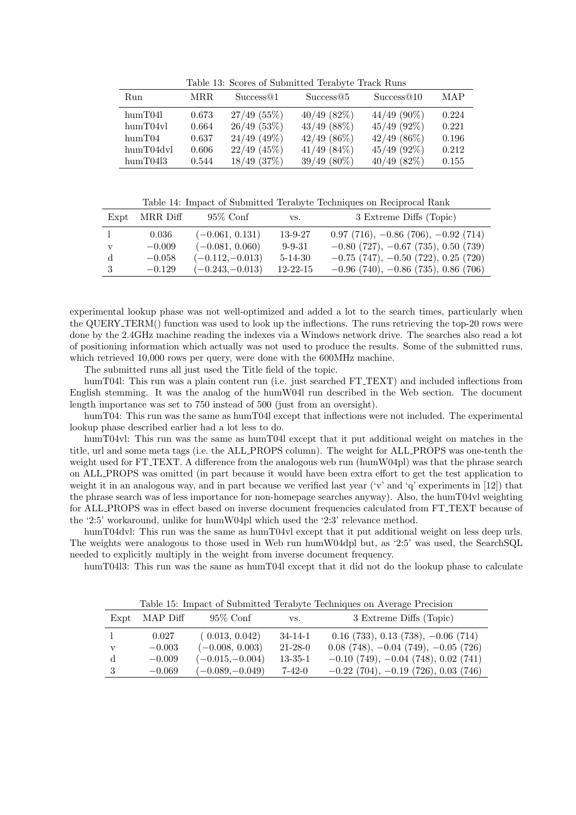Table 13: Scores of Submitted Terabyte Track Runs

| Run               | MRR.  | Success@1       | Success@5        | Success@10       | MAP   |
|-------------------|-------|-----------------|------------------|------------------|-------|
| $\text{hum}T04l$  | 0.673 | 27/49(55%)      | $40/49$ (82%)    | $44/49$ (90%)    | 0.224 |
| humT04vl          | 0.664 | 26/49(53%)      | $43/49$ $(88\%)$ | $45/49$ (92\%)   | 0.221 |
| $\text{hum}T04$   | 0.637 | $24/49$ (49%)   | $42/49$ (86\%)   | $42/49$ (86\%)   | 0.196 |
| humT04dvl         | 0.606 | $22/49$ (45%)   | $41/49$ $(84\%)$ | $45/49$ (92%)    | 0.212 |
| $\text{hum}T0413$ | 0.544 | $18/49$ $(37%)$ | $39/49(80\%)$    | $40/49$ $(82\%)$ | 0.155 |

Table 14: Impact of Submitted Terabyte Techniques on Reciprocal Rank

|   | Expt MRR Diff | $95\%$ Conf       | VS.            | 3 Extreme Diffs (Topic)                    |
|---|---------------|-------------------|----------------|--------------------------------------------|
|   | 0.036         | $(-0.061, 0.131)$ | $13 - 9 - 27$  | $0.97$ (716), $-0.86$ (706), $-0.92$ (714) |
| V | $-0.009$      | $(-0.081, 0.060)$ | $9 - 9 - 31$   | $-0.80$ (727), $-0.67$ (735), 0.50 (739)   |
| đ | $-0.058$      | $(-0.112,-0.013)$ | $5 - 14 - 30$  | $-0.75$ (747), $-0.50$ (722), 0.25 (720)   |
|   | $-0.129$      | $(-0.243,-0.013)$ | $12 - 22 - 15$ | $-0.96$ (740), $-0.86$ (735), 0.86 (706)   |

experimental lookup phase was not well-optimized and added a lot to the search times, particularly when the QUERY TERM() function was used to look up the inflections. The runs retrieving the top-20 rows were done by the 2.4GHz machine reading the indexes via a Windows network drive. The searches also read a lot of positioning information which actually was not used to produce the results. Some of the submitted runs, which retrieved 10,000 rows per query, were done with the 600MHz machine.

The submitted runs all just used the Title field of the topic.

humT04l: This run was a plain content run (i.e. just searched FT\_TEXT) and included inflections from English stemming. It was the analog of the humW04l run described in the Web section. The document length importance was set to 750 instead of 500 (just from an oversight).

humT04: This run was the same as humT04l except that inflections were not included. The experimental lookup phase described earlier had a lot less to do.

humT04vl: This run was the same as humT04l except that it put additional weight on matches in the title, url and some meta tags (i.e. the ALL PROPS column). The weight for ALL PROPS was one-tenth the weight used for FT\_TEXT. A difference from the analogous web run (humW04pl) was that the phrase search on ALL PROPS was omitted (in part because it would have been extra effort to get the test application to weight it in an analogous way, and in part because we verified last year ('v' and 'q' experiments in [12]) that the phrase search was of less importance for non-homepage searches anyway). Also, the humT04vl weighting for ALL PROPS was in effect based on inverse document frequencies calculated from FT TEXT because of the '2:5' workaround, unlike for humW04pl which used the '2:3' relevance method.

humT04dvl: This run was the same as humT04vl except that it put additional weight on less deep urls. The weights were analogous to those used in Web run humW04dpl but, as '2:5' was used, the SearchSQL needed to explicitly multiply in the weight from inverse document frequency.

humT04l3: This run was the same as humT04l except that it did not do the lookup phase to calculate

|   |               |                   |               | Table 10. Impact of Dublinteed Terapyte Techniques on IVerage I recision |
|---|---------------|-------------------|---------------|--------------------------------------------------------------------------|
|   | Expt MAP Diff | $95\%$ Conf       | VS.           | 3 Extreme Diffs (Topic)                                                  |
|   | 0.027         | (0.013, 0.042)    | $34 - 14 - 1$ | $0.16$ (733), $0.13$ (738), $-0.06$ (714)                                |
| v | $-0.003$      | $(-0.008, 0.003)$ | $21 - 28 - 0$ | $0.08$ (748), $-0.04$ (749), $-0.05$ (726)                               |
|   | $-0.009$      | $(-0.015,-0.004)$ | $13 - 35 - 1$ | $-0.10$ (749), $-0.04$ (748), 0.02 (741)                                 |
|   | $-0.069$      | $(-0.089,-0.049)$ | 7-42-0        | $-0.22$ (704), $-0.19$ (726), 0.03 (746)                                 |

Table 15: Impact of Submitted Terabyte Techniques on Average Precision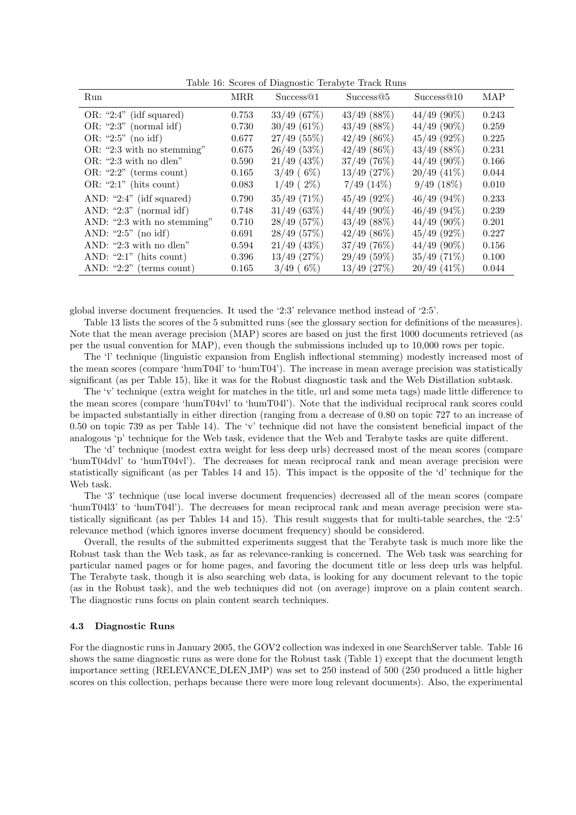Table 16: Scores of Diagnostic Terabyte Track Runs

| Run                         | <b>MRR</b> | Success <sup>@1</sup> | Success@5        | Success@10     | MAP   |
|-----------------------------|------------|-----------------------|------------------|----------------|-------|
| OR: "2:4" (idf squared)     | 0.753      | 33/49(67%)            | $43/49$ (88%)    | $44/49$ (90%)  | 0.243 |
| OR: "2:3" (normal idf)      | 0.730      | $30/49(61\%)$         | $43/49$ (88%)    | $44/49$ (90%)  | 0.259 |
| OR: "2:5" (no idf)          | 0.677      | $27/49$ (55%)         | $42/49$ (86%)    | $45/49$ (92%)  | 0.225 |
| OR: "2:3 with no stemming"  | 0.675      | 26/49(53%)            | $42/49$ (86%)    | $43/49$ (88%)  | 0.231 |
| $OR:$ "2:3 with no dlen"    | 0.590      | $21/49$ (43%)         | $37/49$ (76%)    | $44/49$ (90%)  | 0.166 |
| OR: "2:2" (terms count)     | 0.165      | $3/49$ (6\%)          | $13/49$ $(27%)$  | $20/49$ (41\%) | 0.044 |
| OR: " $2:1$ " (hits count)  | 0.083      | $1/49$ (2\%)          | $7/49$ $(14\%)$  | $9/49(18\%)$   | 0.010 |
| AND: " $2:4"$ (idf squared) | 0.790      | $35/49$ (71\%)        | $45/49$ (92\%)   | $46/49(94\%)$  | 0.233 |
| AND: " $2:3$ " (normal idf) | 0.748      | $31/49$ (63%)         | $44/49$ (90%)    | $46/49$ (94\%) | 0.239 |
| AND: "2:3 with no stemming" | 0.710      | 28/49(57%)            | $43/49$ (88%)    | $44/49$ (90%)  | 0.201 |
| AND: " $2:5$ " (no idf)     | 0.691      | 28/49(57%)            | $42/49$ $(86\%)$ | $45/49$ (92%)  | 0.227 |
| AND: "2:3 with no dlen"     | 0.594      | $21/49$ (43%)         | $37/49$ (76%)    | $44/49$ (90%)  | 0.156 |
| AND: " $2:1$ " (hits count) | 0.396      | $13/49$ $(27%)$       | 29/49(59%)       | $35/49$ (71%)  | 0.100 |
| AND: " $2:2"$ (terms count) | 0.165      | $3/49$ (6\%)          | $13/49$ (27%)    | $20/49$ (41\%) | 0.044 |

global inverse document frequencies. It used the '2:3' relevance method instead of '2:5'.

Table 13 lists the scores of the 5 submitted runs (see the glossary section for definitions of the measures). Note that the mean average precision (MAP) scores are based on just the first 1000 documents retrieved (as per the usual convention for MAP), even though the submissions included up to 10,000 rows per topic.

The 'l' technique (linguistic expansion from English inflectional stemming) modestly increased most of the mean scores (compare 'humT04l' to 'humT04'). The increase in mean average precision was statistically significant (as per Table 15), like it was for the Robust diagnostic task and the Web Distillation subtask.

The 'v' technique (extra weight for matches in the title, url and some meta tags) made little difference to the mean scores (compare 'humT04vl' to 'humT04l'). Note that the individual reciprocal rank scores could be impacted substantially in either direction (ranging from a decrease of 0.80 on topic 727 to an increase of 0.50 on topic 739 as per Table 14). The 'v' technique did not have the consistent beneficial impact of the analogous 'p' technique for the Web task, evidence that the Web and Terabyte tasks are quite different.

The 'd' technique (modest extra weight for less deep urls) decreased most of the mean scores (compare 'humT04dvl' to 'humT04vl'). The decreases for mean reciprocal rank and mean average precision were statistically significant (as per Tables 14 and 15). This impact is the opposite of the 'd' technique for the Web task.

The '3' technique (use local inverse document frequencies) decreased all of the mean scores (compare 'humT04l3' to 'humT04l'). The decreases for mean reciprocal rank and mean average precision were statistically significant (as per Tables 14 and 15). This result suggests that for multi-table searches, the '2:5' relevance method (which ignores inverse document frequency) should be considered.

Overall, the results of the submitted experiments suggest that the Terabyte task is much more like the Robust task than the Web task, as far as relevance-ranking is concerned. The Web task was searching for particular named pages or for home pages, and favoring the document title or less deep urls was helpful. The Terabyte task, though it is also searching web data, is looking for any document relevant to the topic (as in the Robust task), and the web techniques did not (on average) improve on a plain content search. The diagnostic runs focus on plain content search techniques.

#### 4.3 Diagnostic Runs

For the diagnostic runs in January 2005, the GOV2 collection was indexed in one SearchServer table. Table 16 shows the same diagnostic runs as were done for the Robust task (Table 1) except that the document length importance setting (RELEVANCE DLEN IMP) was set to 250 instead of 500 (250 produced a little higher scores on this collection, perhaps because there were more long relevant documents). Also, the experimental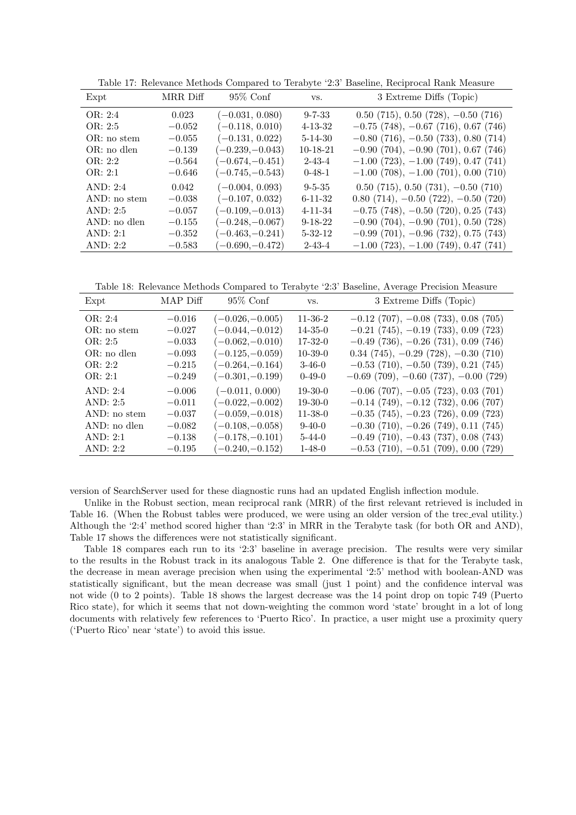| Expt          | MRR Diff | $95\%$ Conf       | VS.           | 3 Extreme Diffs (Topic)                    |
|---------------|----------|-------------------|---------------|--------------------------------------------|
| OR: 2:4       | 0.023    | $(-0.031, 0.080)$ | $9 - 7 - 33$  | $0.50$ (715), $0.50$ (728), $-0.50$ (716)  |
| OR: $2:5$     | $-0.052$ | $(-0.118, 0.010)$ | $4 - 13 - 32$ | $-0.75$ (748), $-0.67$ (716), 0.67 (746)   |
| OR: no stem   | $-0.055$ | $(-0.131, 0.022)$ | $5 - 14 - 30$ | $-0.80$ (716), $-0.50$ (733), 0.80 (714)   |
| $OR: no$ dlen | $-0.139$ | $(-0.239,-0.043)$ | $10-18-21$    | $-0.90$ (704), $-0.90$ (701), 0.67 (746)   |
| OR: 2:2       | $-0.564$ | $(-0.674,-0.451)$ | $2 - 43 - 4$  | $-1.00$ (723), $-1.00$ (749), 0.47 (741)   |
| OR: 2:1       | $-0.646$ | $(-0.745,-0.543)$ | $0-48-1$      | $-1.00$ (708), $-1.00$ (701), 0.00 (710)   |
| AND: $2:4$    | 0.042    | $(-0.004, 0.093)$ | $9 - 5 - 35$  | $0.50$ (715), $0.50$ (731), $-0.50$ (710)  |
| AND: no stem  | $-0.038$ | $(-0.107, 0.032)$ | $6 - 11 - 32$ | $0.80$ (714), $-0.50$ (722), $-0.50$ (720) |
| AND: $2:5$    | $-0.057$ | $(-0.109,-0.013)$ | $4 - 11 - 34$ | $-0.75$ (748), $-0.50$ (720), 0.25 (743)   |
| AND: no dlen  | $-0.155$ | $(-0.248,-0.067)$ | $9 - 18 - 22$ | $-0.90$ (704), $-0.90$ (701), 0.50 (728)   |
| AND: 2:1      | $-0.352$ | $(-0.463,-0.241)$ | $5 - 32 - 12$ | $-0.99$ (701), $-0.96$ (732), 0.75 (743)   |
| AND: 2:2      | $-0.583$ | $(-0.690,-0.472)$ | $2 - 4.3 - 4$ | $-1.00$ (723), $-1.00$ (749), 0.47 (741)   |

Table 17: Relevance Methods Compared to Terabyte '2:3' Baseline, Reciprocal Rank Measure

Table 18: Relevance Methods Compared to Terabyte '2:3' Baseline, Average Precision Measure

| Expt         | MAP Diff | $95\%$ Conf       | VS.           | 3 Extreme Diffs (Topic)                     |
|--------------|----------|-------------------|---------------|---------------------------------------------|
| OR: 2:4      | $-0.016$ | $(-0.026,-0.005)$ | $11 - 36 - 2$ | $-0.12$ (707), $-0.08$ (733), 0.08 (705)    |
| OR: no stem  | $-0.027$ | $(-0.044,-0.012)$ | $14 - 35 - 0$ | $-0.21$ (745), $-0.19$ (733), 0.09 (723)    |
| OR: 2:5      | $-0.033$ | $(-0.062,-0.010)$ | $17-32-0$     | $-0.49$ (736), $-0.26$ (731), 0.09 (746)    |
| OR: no dlen  | $-0.093$ | $(-0.125,-0.059)$ | $10 - 39 - 0$ | $0.34$ (745), $-0.29$ (728), $-0.30$ (710)  |
| OR: 2:2      | $-0.215$ | $(-0.264,-0.164)$ | $3-46-0$      | $-0.53$ (710), $-0.50$ (739), 0.21 (745)    |
| OR: 2:1      | $-0.249$ | $(-0.301,-0.199)$ | $0-49-0$      | $-0.69$ (709), $-0.60$ (737), $-0.00$ (729) |
| AND: 2:4     | $-0.006$ | $(-0.011, 0.000)$ | $19-30-0$     | $-0.06$ (707), $-0.05$ (723), 0.03 (701)    |
| AND: 2:5     | $-0.011$ | $(-0.022,-0.002)$ | $19-30-0$     | $-0.14$ (749), $-0.12$ (732), 0.06 (707)    |
| AND: no stem | $-0.037$ | $(-0.059,-0.018)$ | $11 - 38 - 0$ | $-0.35$ (745), $-0.23$ (726), 0.09 (723)    |
| AND: no dlen | $-0.082$ | $(-0.108,-0.058)$ | $9-40-0$      | $-0.30$ (710), $-0.26$ (749), 0.11 (745)    |
| AND: 2:1     | $-0.138$ | $(-0.178,-0.101)$ | $5 - 44 - 0$  | $-0.49$ (710), $-0.43$ (737), 0.08 (743)    |
| AND: $2:2$   | $-0.195$ | $(-0.240,-0.152)$ | $1 - 48 - 0$  | $-0.53$ (710), $-0.51$ (709), 0.00 (729)    |

version of SearchServer used for these diagnostic runs had an updated English inflection module.

Unlike in the Robust section, mean reciprocal rank (MRR) of the first relevant retrieved is included in Table 16. (When the Robust tables were produced, we were using an older version of the trec eval utility.) Although the '2:4' method scored higher than '2:3' in MRR in the Terabyte task (for both OR and AND), Table 17 shows the differences were not statistically significant.

Table 18 compares each run to its '2:3' baseline in average precision. The results were very similar to the results in the Robust track in its analogous Table 2. One difference is that for the Terabyte task, the decrease in mean average precision when using the experimental '2:5' method with boolean-AND was statistically significant, but the mean decrease was small (just 1 point) and the confidence interval was not wide (0 to 2 points). Table 18 shows the largest decrease was the 14 point drop on topic 749 (Puerto Rico state), for which it seems that not down-weighting the common word 'state' brought in a lot of long documents with relatively few references to 'Puerto Rico'. In practice, a user might use a proximity query ('Puerto Rico' near 'state') to avoid this issue.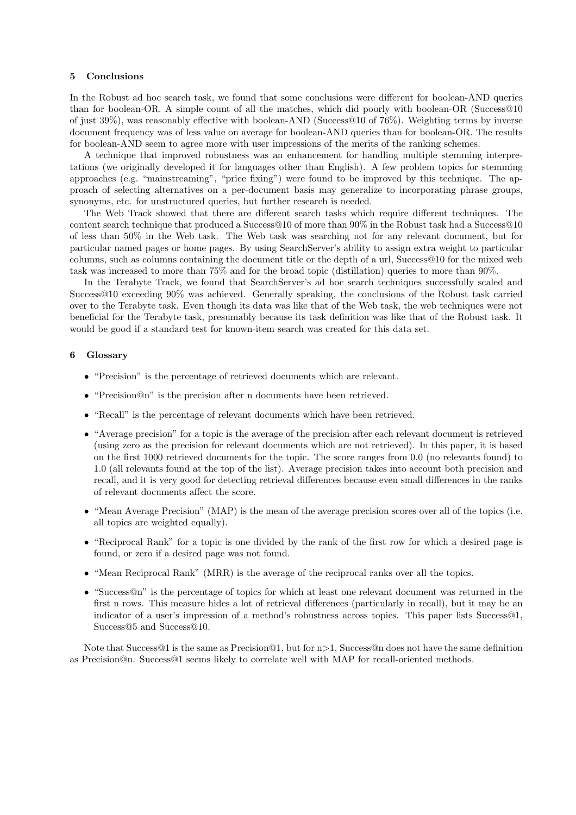## 5 Conclusions

In the Robust ad hoc search task, we found that some conclusions were different for boolean-AND queries than for boolean-OR. A simple count of all the matches, which did poorly with boolean-OR (Success@10 of just 39%), was reasonably effective with boolean-AND (Success@10 of 76%). Weighting terms by inverse document frequency was of less value on average for boolean-AND queries than for boolean-OR. The results for boolean-AND seem to agree more with user impressions of the merits of the ranking schemes.

A technique that improved robustness was an enhancement for handling multiple stemming interpretations (we originally developed it for languages other than English). A few problem topics for stemming approaches (e.g. "mainstreaming", "price fixing") were found to be improved by this technique. The approach of selecting alternatives on a per-document basis may generalize to incorporating phrase groups, synonyms, etc. for unstructured queries, but further research is needed.

The Web Track showed that there are different search tasks which require different techniques. The content search technique that produced a Success@10 of more than 90% in the Robust task had a Success@10 of less than 50% in the Web task. The Web task was searching not for any relevant document, but for particular named pages or home pages. By using SearchServer's ability to assign extra weight to particular columns, such as columns containing the document title or the depth of a url, Success@10 for the mixed web task was increased to more than 75% and for the broad topic (distillation) queries to more than 90%.

In the Terabyte Track, we found that SearchServer's ad hoc search techniques successfully scaled and Success@10 exceeding 90% was achieved. Generally speaking, the conclusions of the Robust task carried over to the Terabyte task. Even though its data was like that of the Web task, the web techniques were not beneficial for the Terabyte task, presumably because its task definition was like that of the Robust task. It would be good if a standard test for known-item search was created for this data set.

## 6 Glossary

- "Precision" is the percentage of retrieved documents which are relevant.
- "Precision@n" is the precision after n documents have been retrieved.
- "Recall" is the percentage of relevant documents which have been retrieved.
- "Average precision" for a topic is the average of the precision after each relevant document is retrieved (using zero as the precision for relevant documents which are not retrieved). In this paper, it is based on the first 1000 retrieved documents for the topic. The score ranges from 0.0 (no relevants found) to 1.0 (all relevants found at the top of the list). Average precision takes into account both precision and recall, and it is very good for detecting retrieval differences because even small differences in the ranks of relevant documents affect the score.
- "Mean Average Precision" (MAP) is the mean of the average precision scores over all of the topics (i.e. all topics are weighted equally).
- "Reciprocal Rank" for a topic is one divided by the rank of the first row for which a desired page is found, or zero if a desired page was not found.
- "Mean Reciprocal Rank" (MRR) is the average of the reciprocal ranks over all the topics.
- "Success@n" is the percentage of topics for which at least one relevant document was returned in the first n rows. This measure hides a lot of retrieval differences (particularly in recall), but it may be an indicator of a user's impression of a method's robustness across topics. This paper lists Success@1, Success@5 and Success@10.

Note that Success@1 is the same as Precision@1, but for n>1, Success@n does not have the same definition as Precision@n. Success@1 seems likely to correlate well with MAP for recall-oriented methods.